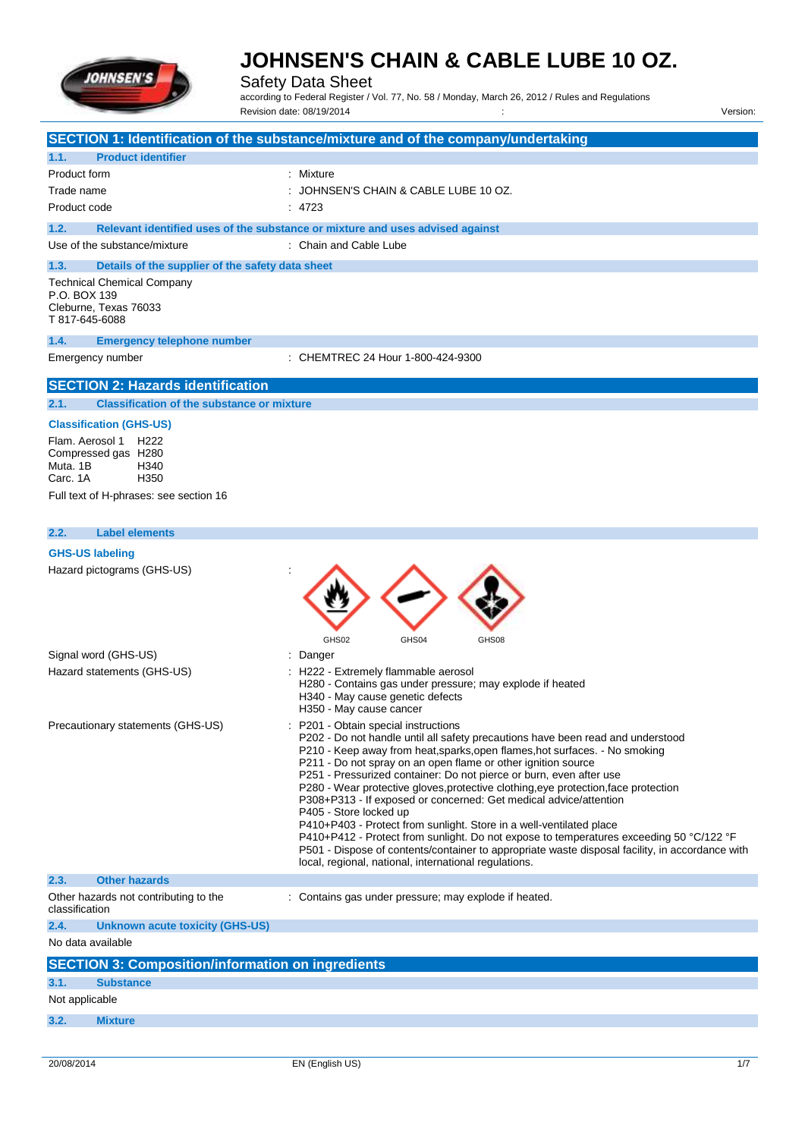

Safety Data Sheet

according to Federal Register / Vol. 77, No. 58 / Monday, March 26, 2012 / Rules and Regulations Revision date: 08/19/2014 : Version:

|                                                           | Revision date: 06/19/2014<br>version:                                                                                                |
|-----------------------------------------------------------|--------------------------------------------------------------------------------------------------------------------------------------|
|                                                           | SECTION 1: Identification of the substance/mixture and of the company/undertaking                                                    |
| <b>Product identifier</b><br>1.1.                         |                                                                                                                                      |
| Product form                                              | : Mixture                                                                                                                            |
| Trade name                                                | JOHNSEN'S CHAIN & CABLE LUBE 10 OZ.                                                                                                  |
| Product code                                              | : 4723                                                                                                                               |
| 1.2.                                                      | Relevant identified uses of the substance or mixture and uses advised against                                                        |
| Use of the substance/mixture                              | : Chain and Cable Lube                                                                                                               |
|                                                           |                                                                                                                                      |
| 1.3.<br>Details of the supplier of the safety data sheet  |                                                                                                                                      |
| <b>Technical Chemical Company</b><br>P.O. BOX 139         |                                                                                                                                      |
| Cleburne, Texas 76033                                     |                                                                                                                                      |
| T 817-645-6088                                            |                                                                                                                                      |
| 1.4.<br><b>Emergency telephone number</b>                 |                                                                                                                                      |
| Emergency number                                          | : CHEMTREC 24 Hour 1-800-424-9300                                                                                                    |
|                                                           |                                                                                                                                      |
| <b>SECTION 2: Hazards identification</b>                  |                                                                                                                                      |
| 2.1.<br><b>Classification of the substance or mixture</b> |                                                                                                                                      |
| <b>Classification (GHS-US)</b>                            |                                                                                                                                      |
| Flam. Aerosol 1 H222                                      |                                                                                                                                      |
| Compressed gas H280<br>Muta, 1B<br>H340                   |                                                                                                                                      |
| Carc. 1A<br>H350                                          |                                                                                                                                      |
| Full text of H-phrases: see section 16                    |                                                                                                                                      |
|                                                           |                                                                                                                                      |
| 2.2.<br><b>Label elements</b>                             |                                                                                                                                      |
| <b>GHS-US labeling</b>                                    |                                                                                                                                      |
| Hazard pictograms (GHS-US)                                |                                                                                                                                      |
|                                                           |                                                                                                                                      |
|                                                           |                                                                                                                                      |
|                                                           |                                                                                                                                      |
|                                                           | GHS02<br>GHS04<br>GHS08                                                                                                              |
| Signal word (GHS-US)                                      | Danger                                                                                                                               |
| Hazard statements (GHS-US)                                | H222 - Extremely flammable aerosol                                                                                                   |
|                                                           | H280 - Contains gas under pressure; may explode if heated                                                                            |
|                                                           | H340 - May cause genetic defects<br>H350 - May cause cancer                                                                          |
| Precautionary statements (GHS-US)                         | P201 - Obtain special instructions                                                                                                   |
|                                                           | P202 - Do not handle until all safety precautions have been read and understood                                                      |
|                                                           | P210 - Keep away from heat, sparks, open flames, hot surfaces. - No smoking                                                          |
|                                                           | P211 - Do not spray on an open flame or other ignition source<br>P251 - Pressurized container: Do not pierce or burn, even after use |
|                                                           | P280 - Wear protective gloves, protective clothing, eye protection, face protection                                                  |
|                                                           | P308+P313 - If exposed or concerned: Get medical advice/attention                                                                    |
|                                                           | P405 - Store locked up<br>P410+P403 - Protect from sunlight. Store in a well-ventilated place                                        |
|                                                           | P410+P412 - Protect from sunlight. Do not expose to temperatures exceeding 50 °C/122 °F                                              |
|                                                           | P501 - Dispose of contents/container to appropriate waste disposal facility, in accordance with                                      |
|                                                           | local, regional, national, international regulations.                                                                                |
| <b>Other hazards</b><br>2.3.                              |                                                                                                                                      |
| Other hazards not contributing to the<br>classification   | : Contains gas under pressure; may explode if heated.                                                                                |
| 2.4.<br><b>Unknown acute toxicity (GHS-US)</b>            |                                                                                                                                      |
| No data available                                         |                                                                                                                                      |
| <b>SECTION 3: Composition/information on ingredients</b>  |                                                                                                                                      |
| 3.1.<br><b>Substance</b>                                  |                                                                                                                                      |
| Not applicable                                            |                                                                                                                                      |
| 3.2.<br><b>Mixture</b>                                    |                                                                                                                                      |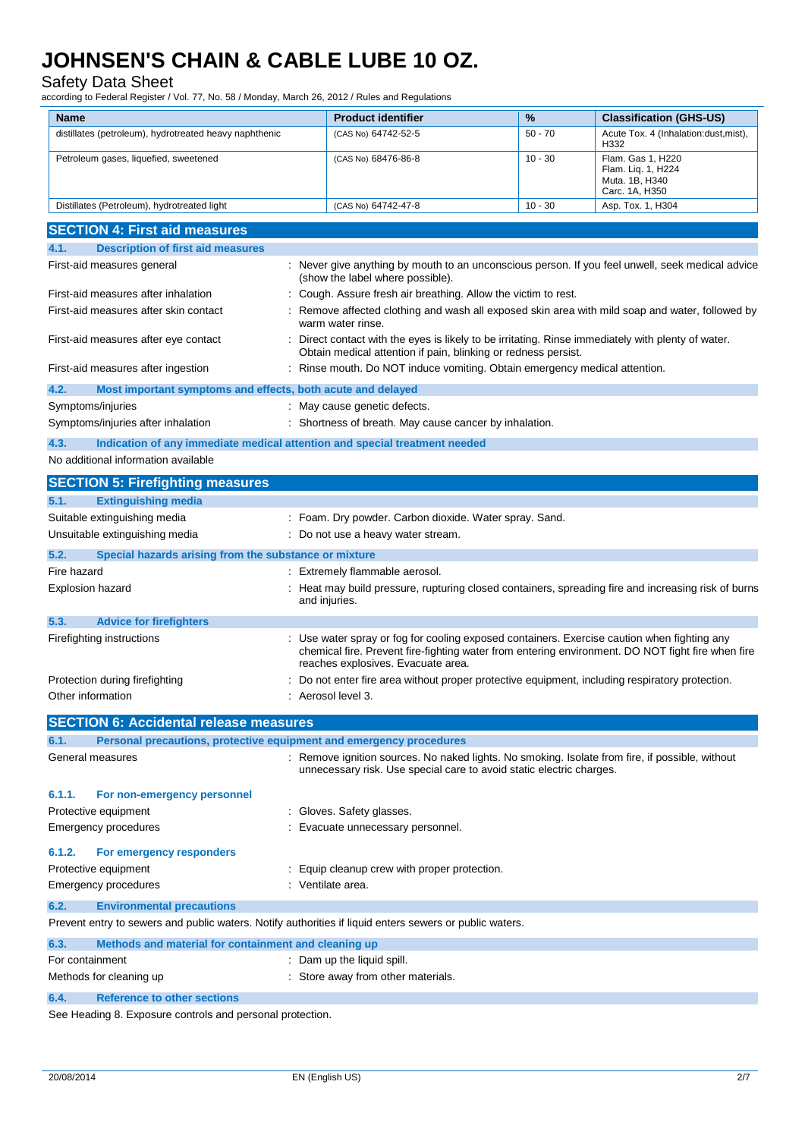Safety Data Sheet

according to Federal Register / Vol. 77, No. 58 / Monday, March 26, 2012 / Rules and Regulations

| <b>Name</b>                                                                                             | <b>Product identifier</b>                                                                                                                                          | %         | <b>Classification (GHS-US)</b>        |
|---------------------------------------------------------------------------------------------------------|--------------------------------------------------------------------------------------------------------------------------------------------------------------------|-----------|---------------------------------------|
| distillates (petroleum), hydrotreated heavy naphthenic                                                  | (CAS No) 64742-52-5                                                                                                                                                | $50 - 70$ | Acute Tox. 4 (Inhalation:dust, mist), |
| Petroleum gases, liquefied, sweetened                                                                   | (CAS No) 68476-86-8                                                                                                                                                | $10 - 30$ | H332<br>Flam. Gas 1, H220             |
|                                                                                                         |                                                                                                                                                                    |           | Flam. Liq. 1, H224<br>Muta. 1B, H340  |
|                                                                                                         |                                                                                                                                                                    |           | Carc. 1A, H350                        |
| Distillates (Petroleum), hydrotreated light                                                             | (CAS No) 64742-47-8                                                                                                                                                | $10 - 30$ | Asp. Tox. 1, H304                     |
| <b>SECTION 4: First aid measures</b>                                                                    |                                                                                                                                                                    |           |                                       |
| <b>Description of first aid measures</b><br>4.1.                                                        |                                                                                                                                                                    |           |                                       |
| First-aid measures general                                                                              | Never give anything by mouth to an unconscious person. If you feel unwell, seek medical advice                                                                     |           |                                       |
| First-aid measures after inhalation                                                                     | (show the label where possible).                                                                                                                                   |           |                                       |
| First-aid measures after skin contact                                                                   | Cough. Assure fresh air breathing. Allow the victim to rest.<br>Remove affected clothing and wash all exposed skin area with mild soap and water, followed by      |           |                                       |
|                                                                                                         | warm water rinse.                                                                                                                                                  |           |                                       |
| First-aid measures after eye contact                                                                    | Direct contact with the eyes is likely to be irritating. Rinse immediately with plenty of water.<br>Obtain medical attention if pain, blinking or redness persist. |           |                                       |
| First-aid measures after ingestion                                                                      | : Rinse mouth. Do NOT induce vomiting. Obtain emergency medical attention.                                                                                         |           |                                       |
| 4.2.                                                                                                    |                                                                                                                                                                    |           |                                       |
| Most important symptoms and effects, both acute and delayed<br>Symptoms/injuries                        | May cause genetic defects.                                                                                                                                         |           |                                       |
| Symptoms/injuries after inhalation                                                                      | Shortness of breath. May cause cancer by inhalation.                                                                                                               |           |                                       |
| 4.3.<br>Indication of any immediate medical attention and special treatment needed                      |                                                                                                                                                                    |           |                                       |
| No additional information available                                                                     |                                                                                                                                                                    |           |                                       |
|                                                                                                         |                                                                                                                                                                    |           |                                       |
| <b>SECTION 5: Firefighting measures</b><br><b>Extinguishing media</b><br>5.1.                           |                                                                                                                                                                    |           |                                       |
| Suitable extinguishing media                                                                            | : Foam. Dry powder. Carbon dioxide. Water spray. Sand.                                                                                                             |           |                                       |
| Unsuitable extinguishing media                                                                          | : Do not use a heavy water stream.                                                                                                                                 |           |                                       |
| 5.2.                                                                                                    |                                                                                                                                                                    |           |                                       |
| Special hazards arising from the substance or mixture<br>Fire hazard                                    | : Extremely flammable aerosol.                                                                                                                                     |           |                                       |
| <b>Explosion hazard</b>                                                                                 | Heat may build pressure, rupturing closed containers, spreading fire and increasing risk of burns                                                                  |           |                                       |
|                                                                                                         | and injuries.                                                                                                                                                      |           |                                       |
| 5.3.<br><b>Advice for firefighters</b>                                                                  |                                                                                                                                                                    |           |                                       |
| Firefighting instructions                                                                               | Use water spray or fog for cooling exposed containers. Exercise caution when fighting any                                                                          |           |                                       |
|                                                                                                         | chemical fire. Prevent fire-fighting water from entering environment. DO NOT fight fire when fire<br>reaches explosives. Evacuate area.                            |           |                                       |
| Protection during firefighting                                                                          | Do not enter fire area without proper protective equipment, including respiratory protection.                                                                      |           |                                       |
| Other information                                                                                       | Aerosol level 3.                                                                                                                                                   |           |                                       |
|                                                                                                         |                                                                                                                                                                    |           |                                       |
| <b>SECTION 6: Accidental release measures</b>                                                           |                                                                                                                                                                    |           |                                       |
| Personal precautions, protective equipment and emergency procedures<br>6.1.<br>General measures         | : Remove ignition sources. No naked lights. No smoking. Isolate from fire, if possible, without                                                                    |           |                                       |
|                                                                                                         | unnecessary risk. Use special care to avoid static electric charges.                                                                                               |           |                                       |
| 6.1.1.<br>For non-emergency personnel                                                                   |                                                                                                                                                                    |           |                                       |
| Protective equipment                                                                                    | Gloves. Safety glasses.                                                                                                                                            |           |                                       |
| <b>Emergency procedures</b>                                                                             | Evacuate unnecessary personnel.                                                                                                                                    |           |                                       |
|                                                                                                         |                                                                                                                                                                    |           |                                       |
| 6.1.2.<br>For emergency responders<br>Protective equipment                                              | Equip cleanup crew with proper protection.                                                                                                                         |           |                                       |
| <b>Emergency procedures</b>                                                                             | : Ventilate area.                                                                                                                                                  |           |                                       |
| 6.2.<br><b>Environmental precautions</b>                                                                |                                                                                                                                                                    |           |                                       |
| Prevent entry to sewers and public waters. Notify authorities if liquid enters sewers or public waters. |                                                                                                                                                                    |           |                                       |
| 6.3.<br>Methods and material for containment and cleaning up                                            |                                                                                                                                                                    |           |                                       |
| For containment                                                                                         | Dam up the liquid spill.                                                                                                                                           |           |                                       |
| Methods for cleaning up                                                                                 | : Store away from other materials.                                                                                                                                 |           |                                       |
| 6.4.<br><b>Reference to other sections</b>                                                              |                                                                                                                                                                    |           |                                       |
| See Heading & Experits controls and personal protection                                                 |                                                                                                                                                                    |           |                                       |

See Heading 8. Exposure controls and personal protection.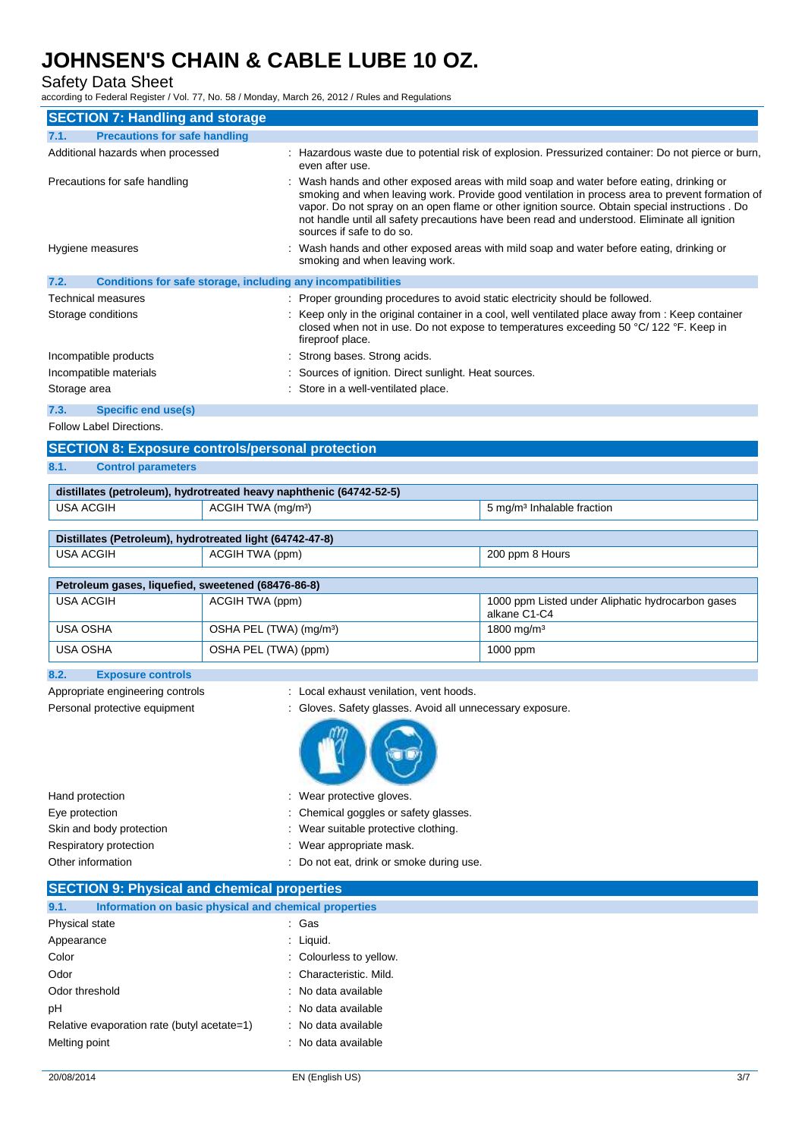### Safety Data Sheet

according to Federal Register / Vol. 77, No. 58 / Monday, March 26, 2012 / Rules and Regulations

| <b>SECTION 7: Handling and storage</b>                                                                                                                                                                                                                                                                                                                                                                                                                      |                                     | according to Federal Register / Vol. 77, No. 58 / Monday, March 26, 2012 / Rules and Regulations                           |                                                                                                                                                                                             |  |
|-------------------------------------------------------------------------------------------------------------------------------------------------------------------------------------------------------------------------------------------------------------------------------------------------------------------------------------------------------------------------------------------------------------------------------------------------------------|-------------------------------------|----------------------------------------------------------------------------------------------------------------------------|---------------------------------------------------------------------------------------------------------------------------------------------------------------------------------------------|--|
| 7.1.<br><b>Precautions for safe handling</b>                                                                                                                                                                                                                                                                                                                                                                                                                |                                     |                                                                                                                            |                                                                                                                                                                                             |  |
| Additional hazards when processed                                                                                                                                                                                                                                                                                                                                                                                                                           |                                     | even after use.                                                                                                            | : Hazardous waste due to potential risk of explosion. Pressurized container: Do not pierce or burn,                                                                                         |  |
| Wash hands and other exposed areas with mild soap and water before eating, drinking or<br>Precautions for safe handling<br>smoking and when leaving work. Provide good ventilation in process area to prevent formation of<br>vapor. Do not spray on an open flame or other ignition source. Obtain special instructions . Do<br>not handle until all safety precautions have been read and understood. Eliminate all ignition<br>sources if safe to do so. |                                     |                                                                                                                            |                                                                                                                                                                                             |  |
| Hygiene measures                                                                                                                                                                                                                                                                                                                                                                                                                                            |                                     | : Wash hands and other exposed areas with mild soap and water before eating, drinking or<br>smoking and when leaving work. |                                                                                                                                                                                             |  |
| 7.2.                                                                                                                                                                                                                                                                                                                                                                                                                                                        |                                     | <b>Conditions for safe storage, including any incompatibilities</b>                                                        |                                                                                                                                                                                             |  |
| <b>Technical measures</b>                                                                                                                                                                                                                                                                                                                                                                                                                                   |                                     | : Proper grounding procedures to avoid static electricity should be followed.                                              |                                                                                                                                                                                             |  |
| Storage conditions                                                                                                                                                                                                                                                                                                                                                                                                                                          |                                     | fireproof place.                                                                                                           | : Keep only in the original container in a cool, well ventilated place away from : Keep container<br>closed when not in use. Do not expose to temperatures exceeding 50 °C/ 122 °F. Keep in |  |
| Incompatible products                                                                                                                                                                                                                                                                                                                                                                                                                                       |                                     | Strong bases. Strong acids.                                                                                                |                                                                                                                                                                                             |  |
| Incompatible materials                                                                                                                                                                                                                                                                                                                                                                                                                                      |                                     | Sources of ignition. Direct sunlight. Heat sources.                                                                        |                                                                                                                                                                                             |  |
| Storage area                                                                                                                                                                                                                                                                                                                                                                                                                                                |                                     | : Store in a well-ventilated place.                                                                                        |                                                                                                                                                                                             |  |
| 7.3.<br><b>Specific end use(s)</b>                                                                                                                                                                                                                                                                                                                                                                                                                          |                                     |                                                                                                                            |                                                                                                                                                                                             |  |
| <b>Follow Label Directions.</b>                                                                                                                                                                                                                                                                                                                                                                                                                             |                                     |                                                                                                                            |                                                                                                                                                                                             |  |
| <b>SECTION 8: Exposure controls/personal protection</b>                                                                                                                                                                                                                                                                                                                                                                                                     |                                     |                                                                                                                            |                                                                                                                                                                                             |  |
| 8.1.<br><b>Control parameters</b>                                                                                                                                                                                                                                                                                                                                                                                                                           |                                     |                                                                                                                            |                                                                                                                                                                                             |  |
|                                                                                                                                                                                                                                                                                                                                                                                                                                                             |                                     |                                                                                                                            |                                                                                                                                                                                             |  |
| distillates (petroleum), hydrotreated heavy naphthenic (64742-52-5)                                                                                                                                                                                                                                                                                                                                                                                         |                                     |                                                                                                                            |                                                                                                                                                                                             |  |
| <b>USA ACGIH</b>                                                                                                                                                                                                                                                                                                                                                                                                                                            | ACGIH TWA (mg/m <sup>3</sup> )      |                                                                                                                            | 5 mg/m <sup>3</sup> Inhalable fraction                                                                                                                                                      |  |
| Distillates (Petroleum), hydrotreated light (64742-47-8)                                                                                                                                                                                                                                                                                                                                                                                                    |                                     |                                                                                                                            |                                                                                                                                                                                             |  |
| <b>USA ACGIH</b>                                                                                                                                                                                                                                                                                                                                                                                                                                            | ACGIH TWA (ppm)                     |                                                                                                                            | 200 ppm 8 Hours                                                                                                                                                                             |  |
|                                                                                                                                                                                                                                                                                                                                                                                                                                                             |                                     |                                                                                                                            |                                                                                                                                                                                             |  |
| Petroleum gases, liquefied, sweetened (68476-86-8)                                                                                                                                                                                                                                                                                                                                                                                                          |                                     |                                                                                                                            |                                                                                                                                                                                             |  |
| <b>USA ACGIH</b>                                                                                                                                                                                                                                                                                                                                                                                                                                            | ACGIH TWA (ppm)                     |                                                                                                                            | 1000 ppm Listed under Aliphatic hydrocarbon gases<br>alkane C1-C4                                                                                                                           |  |
| <b>USA OSHA</b>                                                                                                                                                                                                                                                                                                                                                                                                                                             | OSHA PEL (TWA) (mg/m <sup>3</sup> ) |                                                                                                                            | 1800 mg/m <sup>3</sup>                                                                                                                                                                      |  |
| <b>USA OSHA</b>                                                                                                                                                                                                                                                                                                                                                                                                                                             | OSHA PEL (TWA) (ppm)                |                                                                                                                            | 1000 ppm                                                                                                                                                                                    |  |
| 8.2.<br><b>Exposure controls</b>                                                                                                                                                                                                                                                                                                                                                                                                                            |                                     |                                                                                                                            |                                                                                                                                                                                             |  |
| Appropriate engineering controls                                                                                                                                                                                                                                                                                                                                                                                                                            |                                     | : Local exhaust venilation, vent hoods.                                                                                    |                                                                                                                                                                                             |  |
| Personal protective equipment<br>: Gloves. Safety glasses. Avoid all unnecessary exposure.                                                                                                                                                                                                                                                                                                                                                                  |                                     |                                                                                                                            |                                                                                                                                                                                             |  |
|                                                                                                                                                                                                                                                                                                                                                                                                                                                             |                                     |                                                                                                                            |                                                                                                                                                                                             |  |

| Hand protection          | : Wear protective gloves.                |
|--------------------------|------------------------------------------|
| Eye protection           | : Chemical goggles or safety glasses.    |
| Skin and body protection | Wear suitable protective clothing.       |
| Respiratory protection   | : Wear appropriate mask.                 |
| Other information        | : Do not eat, drink or smoke during use. |
|                          |                                          |

| <b>SECTION 9: Physical and chemical properties</b>            |                         |
|---------------------------------------------------------------|-------------------------|
| Information on basic physical and chemical properties<br>9.1. |                         |
| Physical state                                                | : Gas                   |
| Appearance                                                    | : Liquid.               |
| Color                                                         | : Colourless to yellow. |
| Odor                                                          | : Characteristic. Mild. |
| Odor threshold                                                | : No data available     |
| pH                                                            | : No data available     |
| Relative evaporation rate (butyl acetate=1)                   | : No data available     |
| Melting point                                                 | : No data available     |
|                                                               |                         |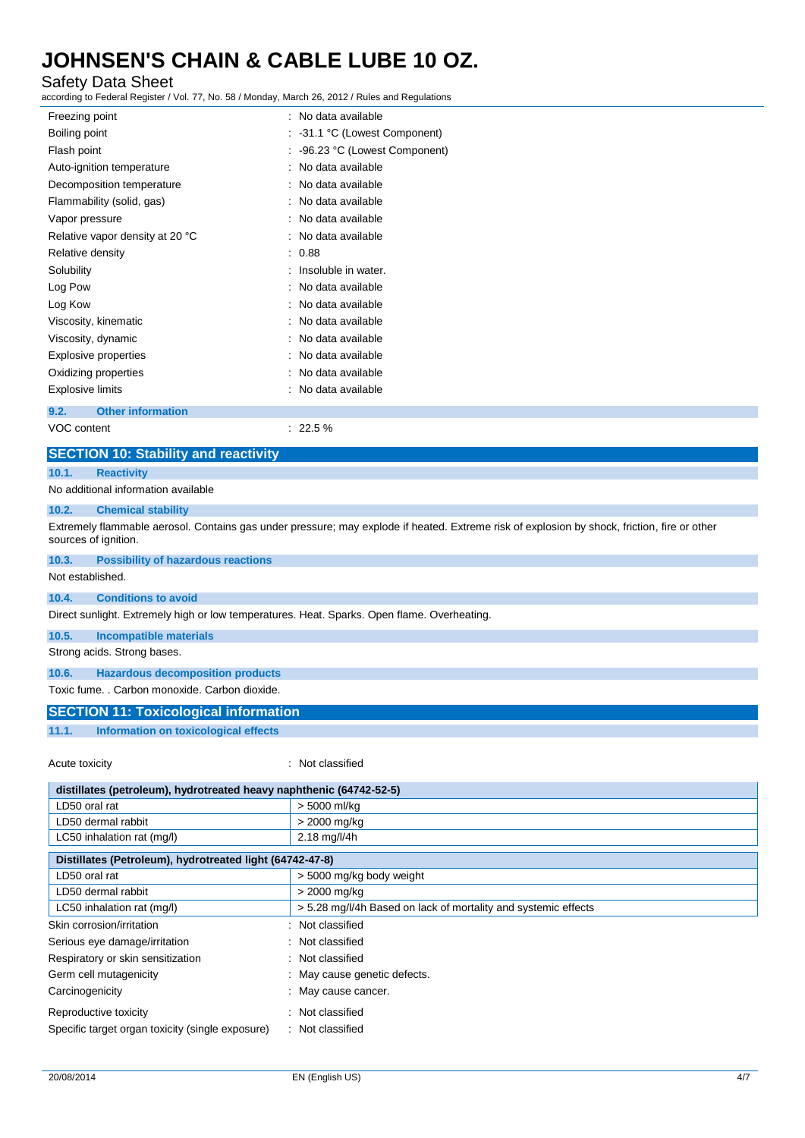### Safety Data Sheet

according to Federal Register / Vol. 77, No. 58 / Monday, March 26, 2012 / Rules and Regulations

| Freezing point                   |  | : No data available           |
|----------------------------------|--|-------------------------------|
| Boiling point                    |  | : -31.1 °C (Lowest Component) |
| Flash point                      |  | -96.23 °C (Lowest Component)  |
| Auto-ignition temperature        |  | No data available             |
| Decomposition temperature        |  | : No data available           |
| Flammability (solid, gas)        |  | : No data available           |
| Vapor pressure                   |  | No data available             |
| Relative vapor density at 20 °C  |  | No data available             |
| Relative density                 |  | : 0.88                        |
| Solubility                       |  | : Insoluble in water.         |
| Log Pow                          |  | : No data available           |
| Log Kow                          |  | : No data available           |
| Viscosity, kinematic             |  | : No data available           |
| Viscosity, dynamic               |  | No data available             |
| Explosive properties             |  | No data available             |
| Oxidizing properties             |  | No data available             |
| Explosive limits                 |  | No data available             |
| <b>Other information</b><br>9.2. |  |                               |

VOC content  $\sim$  22.5 %

### **SECTION 10: Stability and reactivity**

#### **10.1. Reactivity**

#### No additional information available

#### **10.2. Chemical stability**

Extremely flammable aerosol. Contains gas under pressure; may explode if heated. Extreme risk of explosion by shock, friction, fire or other sources of ignition.

#### **10.3. Possibility of hazardous reactions** Not established.

#### **10.4. Conditions to avoid**

Direct sunlight. Extremely high or low temperatures. Heat. Sparks. Open flame. Overheating.

#### **10.5. Incompatible materials**

Strong acids. Strong bases.

### **10.6. Hazardous decomposition products**

Toxic fume. . Carbon monoxide. Carbon dioxide.

### **SECTION 11: Toxicological information**

**11.1. Information on toxicological effects**

Acute toxicity **in the case of the case of the case of the case of the case of the case of the case of the case of the case of the case of the case of the case of the case of the case of the case of the case of the case of** 

| distillates (petroleum), hydrotreated heavy naphthenic (64742-52-5) |              |  |
|---------------------------------------------------------------------|--------------|--|
| LD50 oral rat                                                       | > 5000 ml/ka |  |
| LD50 dermal rabbit                                                  | > 2000 mg/kg |  |
| 2.18 mg/l/4h<br>LC50 inhalation rat (mg/l)                          |              |  |
|                                                                     |              |  |
| Distillatos (Batroloum), hydrotroatod light (64749, 47, 8)          |              |  |

| Distillates (Petroleum), hydrotreated light (64742-47-8) |                                                                |  |
|----------------------------------------------------------|----------------------------------------------------------------|--|
| LD50 oral rat                                            | > 5000 mg/kg body weight                                       |  |
| LD50 dermal rabbit                                       | > 2000 mg/kg                                                   |  |
| LC50 inhalation rat (mg/l)                               | > 5.28 mg/l/4h Based on lack of mortality and systemic effects |  |
| Skin corrosion/irritation                                | Not classified<br>۰.                                           |  |
| Serious eye damage/irritation                            | : Not classified                                               |  |
| Respiratory or skin sensitization                        | : Not classified                                               |  |
| Germ cell mutagenicity                                   | : May cause genetic defects.                                   |  |
| Carcinogenicity                                          | May cause cancer.                                              |  |
| Reproductive toxicity                                    | Not classified                                                 |  |
| Specific target organ toxicity (single exposure)         | : Not classified                                               |  |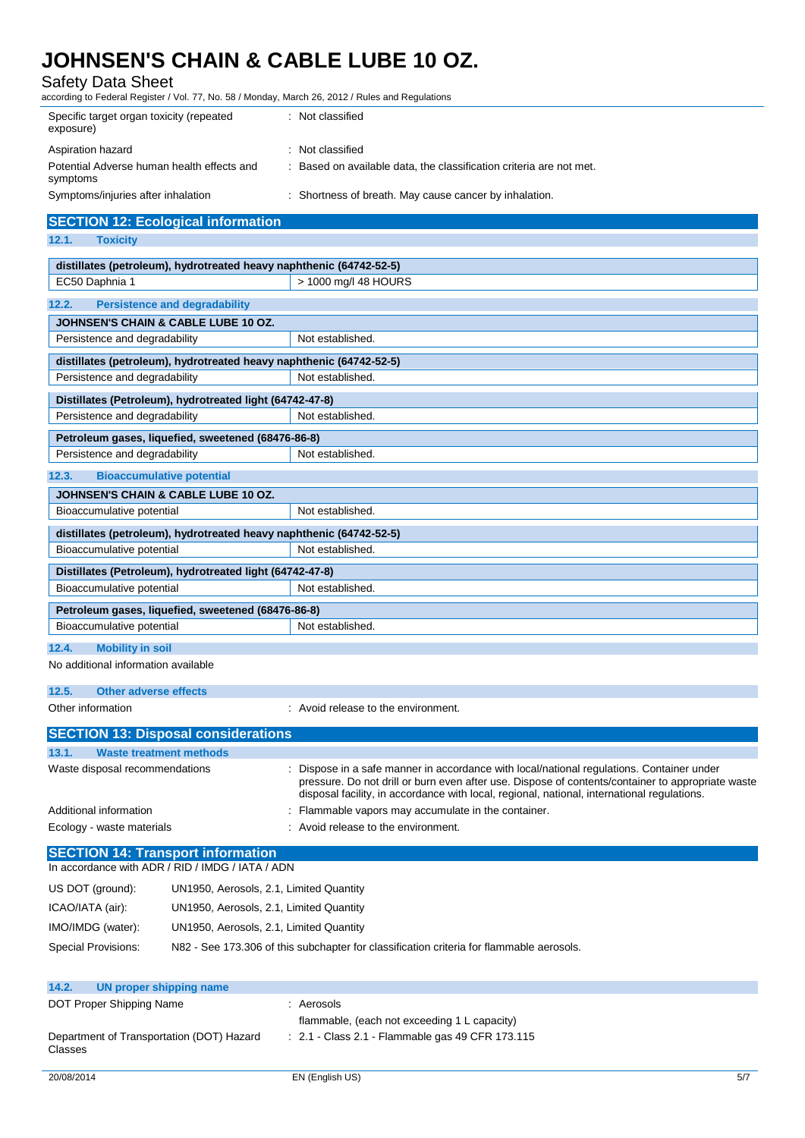### Safety Data Sheet

according to Federal Register / Vol. 77, No. 58 / Monday, March 26, 2012 / Rules and Regulations

| Specific target organ toxicity (repeated<br>exposure)  | : Not classified                                                    |
|--------------------------------------------------------|---------------------------------------------------------------------|
| Aspiration hazard                                      | : Not classified                                                    |
| Potential Adverse human health effects and<br>symptoms | : Based on available data, the classification criteria are not met. |
| Symptoms/injuries after inhalation                     | : Shortness of breath. May cause cancer by inhalation.              |

### **SECTION 12: Ecological information**

**12.1. Toxicity**

| distillates (petroleum), hydrotreated heavy naphthenic (64742-52-5) |                                                                                                                                                                                                                                                                                               |  |  |
|---------------------------------------------------------------------|-----------------------------------------------------------------------------------------------------------------------------------------------------------------------------------------------------------------------------------------------------------------------------------------------|--|--|
| EC50 Daphnia 1                                                      | > 1000 mg/l 48 HOURS                                                                                                                                                                                                                                                                          |  |  |
| 12.2.                                                               | <b>Persistence and degradability</b>                                                                                                                                                                                                                                                          |  |  |
| <b>JOHNSEN'S CHAIN &amp; CABLE LUBE 10 OZ.</b>                      |                                                                                                                                                                                                                                                                                               |  |  |
| Persistence and degradability                                       | Not established.                                                                                                                                                                                                                                                                              |  |  |
|                                                                     | distillates (petroleum), hydrotreated heavy naphthenic (64742-52-5)                                                                                                                                                                                                                           |  |  |
| Persistence and degradability                                       | Not established.                                                                                                                                                                                                                                                                              |  |  |
|                                                                     | Distillates (Petroleum), hydrotreated light (64742-47-8)                                                                                                                                                                                                                                      |  |  |
| Persistence and degradability                                       | Not established.                                                                                                                                                                                                                                                                              |  |  |
|                                                                     | Petroleum gases, liquefied, sweetened (68476-86-8)                                                                                                                                                                                                                                            |  |  |
| Persistence and degradability                                       | Not established.                                                                                                                                                                                                                                                                              |  |  |
| 12.3.<br><b>Bioaccumulative potential</b>                           |                                                                                                                                                                                                                                                                                               |  |  |
| <b>JOHNSEN'S CHAIN &amp; CABLE LUBE 10 OZ.</b>                      |                                                                                                                                                                                                                                                                                               |  |  |
| Bioaccumulative potential                                           | Not established.                                                                                                                                                                                                                                                                              |  |  |
|                                                                     | distillates (petroleum), hydrotreated heavy naphthenic (64742-52-5)                                                                                                                                                                                                                           |  |  |
| Bioaccumulative potential                                           | Not established.                                                                                                                                                                                                                                                                              |  |  |
|                                                                     | Distillates (Petroleum), hydrotreated light (64742-47-8)                                                                                                                                                                                                                                      |  |  |
| Bioaccumulative potential                                           | Not established.                                                                                                                                                                                                                                                                              |  |  |
|                                                                     | Petroleum gases, liquefied, sweetened (68476-86-8)                                                                                                                                                                                                                                            |  |  |
| Bioaccumulative potential                                           | Not established.                                                                                                                                                                                                                                                                              |  |  |
| <b>Mobility in soil</b><br>12.4.                                    |                                                                                                                                                                                                                                                                                               |  |  |
| No additional information available                                 |                                                                                                                                                                                                                                                                                               |  |  |
| 12.5.<br><b>Other adverse effects</b>                               |                                                                                                                                                                                                                                                                                               |  |  |
| Other information                                                   | : Avoid release to the environment.                                                                                                                                                                                                                                                           |  |  |
| <b>SECTION 13: Disposal considerations</b>                          |                                                                                                                                                                                                                                                                                               |  |  |
| 13.1.<br><b>Waste treatment methods</b>                             |                                                                                                                                                                                                                                                                                               |  |  |
| Waste disposal recommendations                                      | : Dispose in a safe manner in accordance with local/national regulations. Container under<br>pressure. Do not drill or burn even after use. Dispose of contents/container to appropriate waste<br>disposal facility, in accordance with local, regional, national, international regulations. |  |  |
| Additional information                                              | Flammable vapors may accumulate in the container.                                                                                                                                                                                                                                             |  |  |
| Ecology - waste materials                                           | : Avoid release to the environment.                                                                                                                                                                                                                                                           |  |  |
| <b>SECTION 14: Transport information</b>                            |                                                                                                                                                                                                                                                                                               |  |  |
| In accordance with ADR / RID / IMDG / IATA / ADN                    |                                                                                                                                                                                                                                                                                               |  |  |
| US DOT (ground):                                                    | UN1950, Aerosols, 2.1, Limited Quantity                                                                                                                                                                                                                                                       |  |  |
| ICAO/IATA (air):                                                    | UN1950, Aerosols, 2.1, Limited Quantity                                                                                                                                                                                                                                                       |  |  |
| IMO/IMDG (water):                                                   | UN1950, Aerosols, 2.1, Limited Quantity                                                                                                                                                                                                                                                       |  |  |
| Special Provisions:                                                 | N82 - See 173.306 of this subchapter for classification criteria for flammable aerosols.                                                                                                                                                                                                      |  |  |
|                                                                     |                                                                                                                                                                                                                                                                                               |  |  |

| 14.2.<br>UN proper shipping name                     |                                                             |
|------------------------------------------------------|-------------------------------------------------------------|
| DOT Proper Shipping Name                             | Aerosols                                                    |
|                                                      | flammable, (each not exceeding 1 L capacity)                |
| Department of Transportation (DOT) Hazard<br>Classes | $\therefore$ 2.1 - Class 2.1 - Flammable gas 49 CFR 173.115 |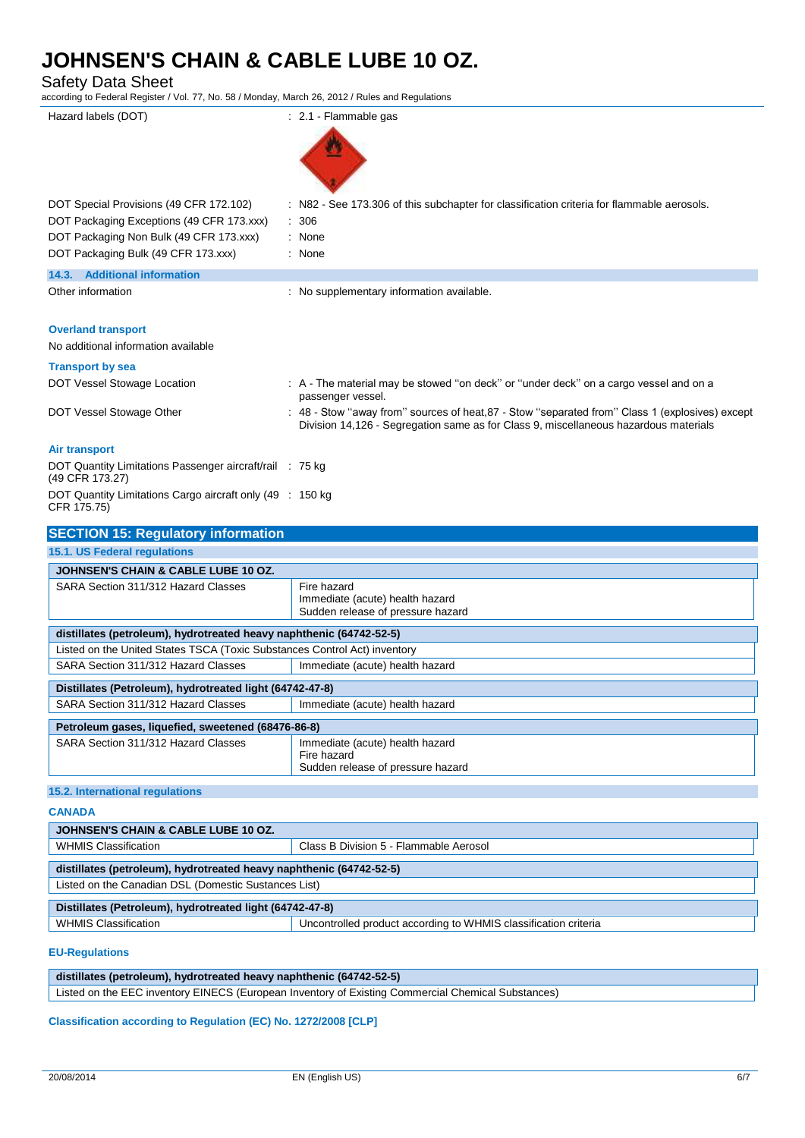| <b>Safety Data Sheet</b><br>according to Federal Register / Vol. 77, No. 58 / Monday, March 26, 2012 / Rules and Regulations |                                                                                                                                                                                         |
|------------------------------------------------------------------------------------------------------------------------------|-----------------------------------------------------------------------------------------------------------------------------------------------------------------------------------------|
| Hazard labels (DOT)                                                                                                          | $: 2.1$ Flammable gas                                                                                                                                                                   |
| DOT Special Provisions (49 CFR 172.102)                                                                                      | : N82 - See 173.306 of this subchapter for classification criteria for flammable aerosols.                                                                                              |
| DOT Packaging Exceptions (49 CFR 173.xxx)                                                                                    | 306                                                                                                                                                                                     |
| DOT Packaging Non Bulk (49 CFR 173.xxx)<br>DOT Packaging Bulk (49 CFR 173.xxx)                                               | None<br>: None                                                                                                                                                                          |
| 14.3. Additional information                                                                                                 |                                                                                                                                                                                         |
| Other information                                                                                                            | : No supplementary information available.                                                                                                                                               |
| <b>Overland transport</b>                                                                                                    |                                                                                                                                                                                         |
| No additional information available                                                                                          |                                                                                                                                                                                         |
| <b>Transport by sea</b>                                                                                                      |                                                                                                                                                                                         |
| DOT Vessel Stowage Location                                                                                                  | : A - The material may be stowed "on deck" or "under deck" on a cargo vessel and on a<br>passenger vessel.                                                                              |
| DOT Vessel Stowage Other                                                                                                     | : 48 - Stow "away from" sources of heat, 87 - Stow "separated from" Class 1 (explosives) except<br>Division 14,126 - Segregation same as for Class 9, miscellaneous hazardous materials |
| <b>Air transport</b>                                                                                                         |                                                                                                                                                                                         |
| DOT Quantity Limitations Passenger aircraft/rail : 75 kg<br>(49 CFR 173.27)                                                  |                                                                                                                                                                                         |
| DOT Quantity Limitations Cargo aircraft only (49 : 150 kg<br>CFR 175.75)                                                     |                                                                                                                                                                                         |
| <b>SECTION 15: Regulatory information</b>                                                                                    |                                                                                                                                                                                         |
| 15.1. US Federal regulations                                                                                                 |                                                                                                                                                                                         |
| <b>JOHNSEN'S CHAIN &amp; CABLE LUBE 10 OZ.</b>                                                                               |                                                                                                                                                                                         |
| SARA Section 311/312 Hazard Classes                                                                                          | Fire hazard<br>Immediate (acute) health hazard<br>Sudden release of pressure hazard                                                                                                     |
| distillates (petroleum), hydrotreated heavy naphthenic (64742-52-5)                                                          |                                                                                                                                                                                         |
| Listed on the United States TSCA (Toxic Substances Control Act) inventory                                                    |                                                                                                                                                                                         |
| SARA Section 311/312 Hazard Classes                                                                                          | Immediate (acute) health hazard                                                                                                                                                         |
| Distillates (Petroleum), hydrotreated light (64742-47-8)                                                                     |                                                                                                                                                                                         |
| SARA Section 311/312 Hazard Classes                                                                                          | Immediate (acute) health hazard                                                                                                                                                         |
| Petroleum gases, liquefied, sweetened (68476-86-8)                                                                           |                                                                                                                                                                                         |
| SARA Section 311/312 Hazard Classes                                                                                          | Immediate (acute) health hazard<br>Fire hazard                                                                                                                                          |
|                                                                                                                              | Sudden release of pressure hazard                                                                                                                                                       |
| 15.2. International regulations                                                                                              |                                                                                                                                                                                         |

**CANADA**

| <b>JOHNSEN'S CHAIN &amp; CABLE LUBE 10 OZ.</b>                      |                                                                 |  |
|---------------------------------------------------------------------|-----------------------------------------------------------------|--|
| <b>WHMIS Classification</b>                                         | Class B Division 5 - Flammable Aerosol                          |  |
| distillates (petroleum), hydrotreated heavy naphthenic (64742-52-5) |                                                                 |  |
| Listed on the Canadian DSL (Domestic Sustances List)                |                                                                 |  |
| Distillates (Petroleum), hydrotreated light (64742-47-8)            |                                                                 |  |
| <b>WHMIS Classification</b>                                         | Uncontrolled product according to WHMIS classification criteria |  |

#### **EU-Regulations**

**distillates (petroleum), hydrotreated heavy naphthenic (64742-52-5)** Listed on the EEC inventory EINECS (European Inventory of Existing Commercial Chemical Substances)

**Classification according to Regulation (EC) No. 1272/2008 [CLP]**